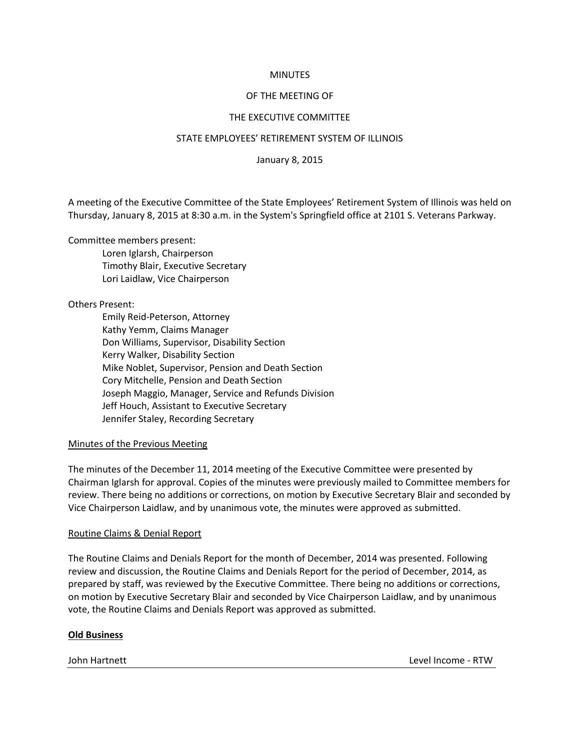### **MINUTES**

## OF THE MEETING OF

## THE EXECUTIVE COMMITTEE

### STATE EMPLOYEES' RETIREMENT SYSTEM OF ILLINOIS

January 8, 2015

A meeting of the Executive Committee of the State Employees' Retirement System of Illinois was held on Thursday, January 8, 2015 at 8:30 a.m. in the System's Springfield office at 2101 S. Veterans Parkway.

Committee members present:

Loren Iglarsh, Chairperson Timothy Blair, Executive Secretary Lori Laidlaw, Vice Chairperson

Others Present:

Emily Reid-Peterson, Attorney Kathy Yemm, Claims Manager Don Williams, Supervisor, Disability Section Kerry Walker, Disability Section Mike Noblet, Supervisor, Pension and Death Section Cory Mitchelle, Pension and Death Section Joseph Maggio, Manager, Service and Refunds Division Jeff Houch, Assistant to Executive Secretary Jennifer Staley, Recording Secretary

### Minutes of the Previous Meeting

The minutes of the December 11, 2014 meeting of the Executive Committee were presented by Chairman Iglarsh for approval. Copies of the minutes were previously mailed to Committee members for review. There being no additions or corrections, on motion by Executive Secretary Blair and seconded by Vice Chairperson Laidlaw, and by unanimous vote, the minutes were approved as submitted.

## Routine Claims & Denial Report

The Routine Claims and Denials Report for the month of December, 2014 was presented. Following review and discussion, the Routine Claims and Denials Report for the period of December, 2014, as prepared by staff, was reviewed by the Executive Committee. There being no additions or corrections, on motion by Executive Secretary Blair and seconded by Vice Chairperson Laidlaw, and by unanimous vote, the Routine Claims and Denials Report was approved as submitted.

# **Old Business**

John Hartnett Level Income - RTW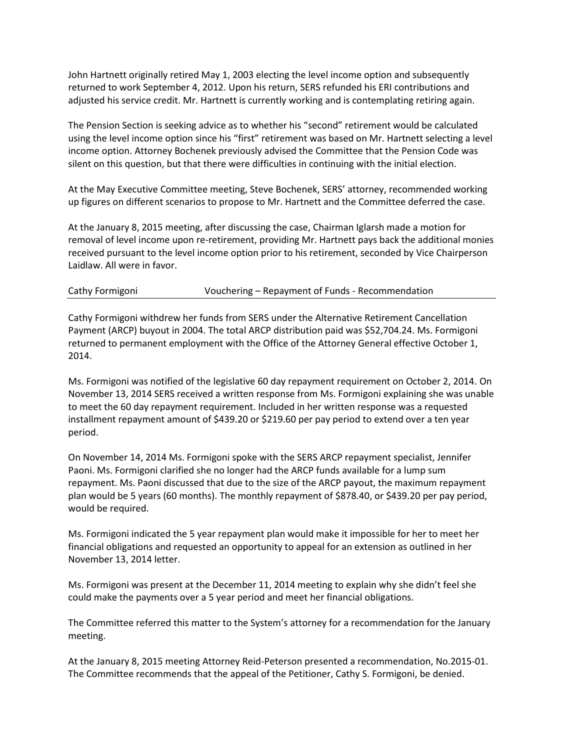John Hartnett originally retired May 1, 2003 electing the level income option and subsequently returned to work September 4, 2012. Upon his return, SERS refunded his ERI contributions and adjusted his service credit. Mr. Hartnett is currently working and is contemplating retiring again.

The Pension Section is seeking advice as to whether his "second" retirement would be calculated using the level income option since his "first" retirement was based on Mr. Hartnett selecting a level income option. Attorney Bochenek previously advised the Committee that the Pension Code was silent on this question, but that there were difficulties in continuing with the initial election.

At the May Executive Committee meeting, Steve Bochenek, SERS' attorney, recommended working up figures on different scenarios to propose to Mr. Hartnett and the Committee deferred the case.

At the January 8, 2015 meeting, after discussing the case, Chairman Iglarsh made a motion for removal of level income upon re-retirement, providing Mr. Hartnett pays back the additional monies received pursuant to the level income option prior to his retirement, seconded by Vice Chairperson Laidlaw. All were in favor.

| Vouchering – Repayment of Funds - Recommendation<br>Cathy Formigoni |
|---------------------------------------------------------------------|
|---------------------------------------------------------------------|

Cathy Formigoni withdrew her funds from SERS under the Alternative Retirement Cancellation Payment (ARCP) buyout in 2004. The total ARCP distribution paid was \$52,704.24. Ms. Formigoni returned to permanent employment with the Office of the Attorney General effective October 1, 2014.

Ms. Formigoni was notified of the legislative 60 day repayment requirement on October 2, 2014. On November 13, 2014 SERS received a written response from Ms. Formigoni explaining she was unable to meet the 60 day repayment requirement. Included in her written response was a requested installment repayment amount of \$439.20 or \$219.60 per pay period to extend over a ten year period.

On November 14, 2014 Ms. Formigoni spoke with the SERS ARCP repayment specialist, Jennifer Paoni. Ms. Formigoni clarified she no longer had the ARCP funds available for a lump sum repayment. Ms. Paoni discussed that due to the size of the ARCP payout, the maximum repayment plan would be 5 years (60 months). The monthly repayment of \$878.40, or \$439.20 per pay period, would be required.

Ms. Formigoni indicated the 5 year repayment plan would make it impossible for her to meet her financial obligations and requested an opportunity to appeal for an extension as outlined in her November 13, 2014 letter.

Ms. Formigoni was present at the December 11, 2014 meeting to explain why she didn't feel she could make the payments over a 5 year period and meet her financial obligations.

The Committee referred this matter to the System's attorney for a recommendation for the January meeting.

At the January 8, 2015 meeting Attorney Reid-Peterson presented a recommendation, No.2015-01. The Committee recommends that the appeal of the Petitioner, Cathy S. Formigoni, be denied.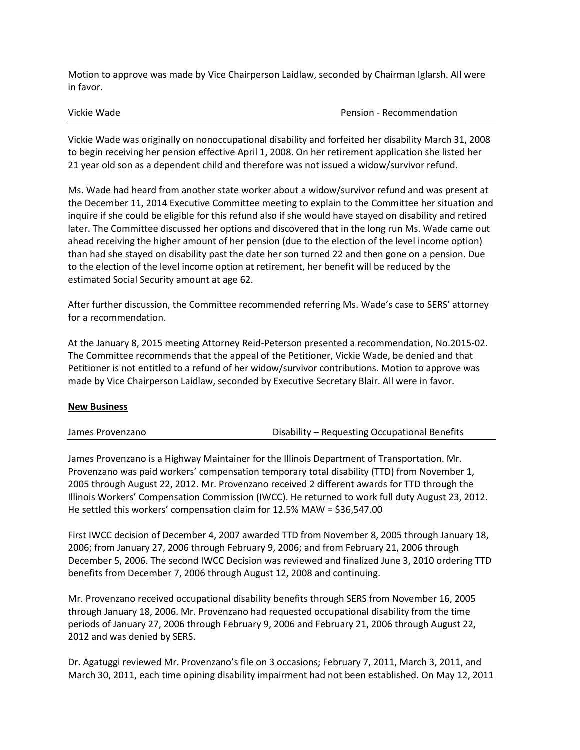Motion to approve was made by Vice Chairperson Laidlaw, seconded by Chairman Iglarsh. All were in favor.

Vickie Wade Pension - Recommendation

Vickie Wade was originally on nonoccupational disability and forfeited her disability March 31, 2008 to begin receiving her pension effective April 1, 2008. On her retirement application she listed her 21 year old son as a dependent child and therefore was not issued a widow/survivor refund.

Ms. Wade had heard from another state worker about a widow/survivor refund and was present at the December 11, 2014 Executive Committee meeting to explain to the Committee her situation and inquire if she could be eligible for this refund also if she would have stayed on disability and retired later. The Committee discussed her options and discovered that in the long run Ms. Wade came out ahead receiving the higher amount of her pension (due to the election of the level income option) than had she stayed on disability past the date her son turned 22 and then gone on a pension. Due to the election of the level income option at retirement, her benefit will be reduced by the estimated Social Security amount at age 62.

After further discussion, the Committee recommended referring Ms. Wade's case to SERS' attorney for a recommendation.

At the January 8, 2015 meeting Attorney Reid-Peterson presented a recommendation, No.2015-02. The Committee recommends that the appeal of the Petitioner, Vickie Wade, be denied and that Petitioner is not entitled to a refund of her widow/survivor contributions. Motion to approve was made by Vice Chairperson Laidlaw, seconded by Executive Secretary Blair. All were in favor.

### **New Business**

| James Provenzano | Disability – Requesting Occupational Benefits |
|------------------|-----------------------------------------------|
|                  |                                               |

James Provenzano is a Highway Maintainer for the Illinois Department of Transportation. Mr. Provenzano was paid workers' compensation temporary total disability (TTD) from November 1, 2005 through August 22, 2012. Mr. Provenzano received 2 different awards for TTD through the Illinois Workers' Compensation Commission (IWCC). He returned to work full duty August 23, 2012. He settled this workers' compensation claim for 12.5% MAW = \$36,547.00

First IWCC decision of December 4, 2007 awarded TTD from November 8, 2005 through January 18, 2006; from January 27, 2006 through February 9, 2006; and from February 21, 2006 through December 5, 2006. The second IWCC Decision was reviewed and finalized June 3, 2010 ordering TTD benefits from December 7, 2006 through August 12, 2008 and continuing.

Mr. Provenzano received occupational disability benefits through SERS from November 16, 2005 through January 18, 2006. Mr. Provenzano had requested occupational disability from the time periods of January 27, 2006 through February 9, 2006 and February 21, 2006 through August 22, 2012 and was denied by SERS.

Dr. Agatuggi reviewed Mr. Provenzano's file on 3 occasions; February 7, 2011, March 3, 2011, and March 30, 2011, each time opining disability impairment had not been established. On May 12, 2011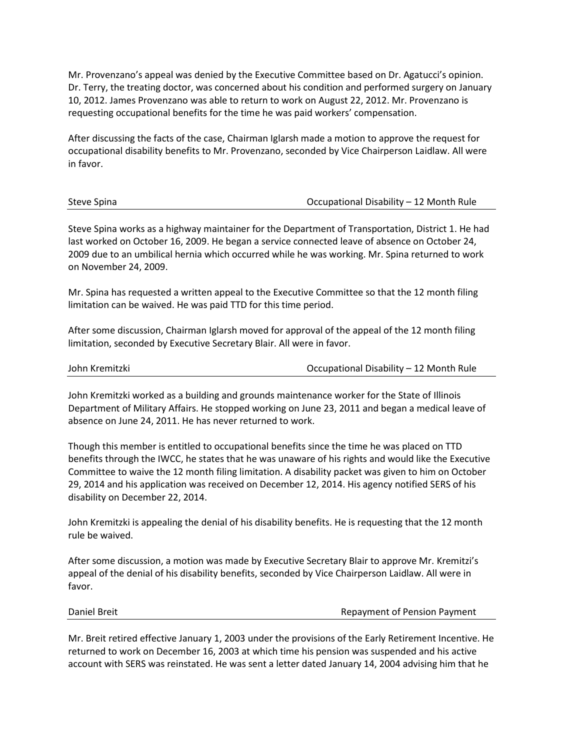Mr. Provenzano's appeal was denied by the Executive Committee based on Dr. Agatucci's opinion. Dr. Terry, the treating doctor, was concerned about his condition and performed surgery on January 10, 2012. James Provenzano was able to return to work on August 22, 2012. Mr. Provenzano is requesting occupational benefits for the time he was paid workers' compensation.

After discussing the facts of the case, Chairman Iglarsh made a motion to approve the request for occupational disability benefits to Mr. Provenzano, seconded by Vice Chairperson Laidlaw. All were in favor.

| Steve Spina | Occupational Disability - 12 Month Rule |
|-------------|-----------------------------------------|
|-------------|-----------------------------------------|

Steve Spina works as a highway maintainer for the Department of Transportation, District 1. He had last worked on October 16, 2009. He began a service connected leave of absence on October 24, 2009 due to an umbilical hernia which occurred while he was working. Mr. Spina returned to work on November 24, 2009.

Mr. Spina has requested a written appeal to the Executive Committee so that the 12 month filing limitation can be waived. He was paid TTD for this time period.

After some discussion, Chairman Iglarsh moved for approval of the appeal of the 12 month filing limitation, seconded by Executive Secretary Blair. All were in favor.

| John Kremitzki |  |
|----------------|--|
|                |  |

Occupational Disability – 12 Month Rule

John Kremitzki worked as a building and grounds maintenance worker for the State of Illinois Department of Military Affairs. He stopped working on June 23, 2011 and began a medical leave of absence on June 24, 2011. He has never returned to work.

Though this member is entitled to occupational benefits since the time he was placed on TTD benefits through the IWCC, he states that he was unaware of his rights and would like the Executive Committee to waive the 12 month filing limitation. A disability packet was given to him on October 29, 2014 and his application was received on December 12, 2014. His agency notified SERS of his disability on December 22, 2014.

John Kremitzki is appealing the denial of his disability benefits. He is requesting that the 12 month rule be waived.

After some discussion, a motion was made by Executive Secretary Blair to approve Mr. Kremitzi's appeal of the denial of his disability benefits, seconded by Vice Chairperson Laidlaw. All were in favor.

Daniel Breit Repayment of Pension Payment

Mr. Breit retired effective January 1, 2003 under the provisions of the Early Retirement Incentive. He returned to work on December 16, 2003 at which time his pension was suspended and his active account with SERS was reinstated. He was sent a letter dated January 14, 2004 advising him that he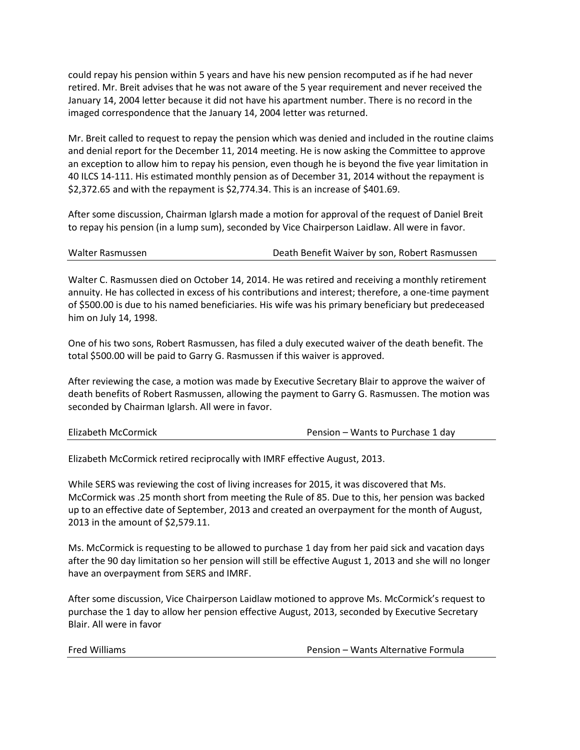could repay his pension within 5 years and have his new pension recomputed as if he had never retired. Mr. Breit advises that he was not aware of the 5 year requirement and never received the January 14, 2004 letter because it did not have his apartment number. There is no record in the imaged correspondence that the January 14, 2004 letter was returned.

Mr. Breit called to request to repay the pension which was denied and included in the routine claims and denial report for the December 11, 2014 meeting. He is now asking the Committee to approve an exception to allow him to repay his pension, even though he is beyond the five year limitation in 40 ILCS 14-111. His estimated monthly pension as of December 31, 2014 without the repayment is \$2,372.65 and with the repayment is \$2,774.34. This is an increase of \$401.69.

After some discussion, Chairman Iglarsh made a motion for approval of the request of Daniel Breit to repay his pension (in a lump sum), seconded by Vice Chairperson Laidlaw. All were in favor.

| Walter Rasmussen | Death Benefit Waiver by son, Robert Rasmussen |
|------------------|-----------------------------------------------|
|                  |                                               |

Walter C. Rasmussen died on October 14, 2014. He was retired and receiving a monthly retirement annuity. He has collected in excess of his contributions and interest; therefore, a one-time payment of \$500.00 is due to his named beneficiaries. His wife was his primary beneficiary but predeceased him on July 14, 1998.

One of his two sons, Robert Rasmussen, has filed a duly executed waiver of the death benefit. The total \$500.00 will be paid to Garry G. Rasmussen if this waiver is approved.

After reviewing the case, a motion was made by Executive Secretary Blair to approve the waiver of death benefits of Robert Rasmussen, allowing the payment to Garry G. Rasmussen. The motion was seconded by Chairman Iglarsh. All were in favor.

Elizabeth McCormick retired reciprocally with IMRF effective August, 2013.

While SERS was reviewing the cost of living increases for 2015, it was discovered that Ms. McCormick was .25 month short from meeting the Rule of 85. Due to this, her pension was backed up to an effective date of September, 2013 and created an overpayment for the month of August, 2013 in the amount of \$2,579.11.

Ms. McCormick is requesting to be allowed to purchase 1 day from her paid sick and vacation days after the 90 day limitation so her pension will still be effective August 1, 2013 and she will no longer have an overpayment from SERS and IMRF.

After some discussion, Vice Chairperson Laidlaw motioned to approve Ms. McCormick's request to purchase the 1 day to allow her pension effective August, 2013, seconded by Executive Secretary Blair. All were in favor

Fred Williams **Pension – Wants Alternative Formula**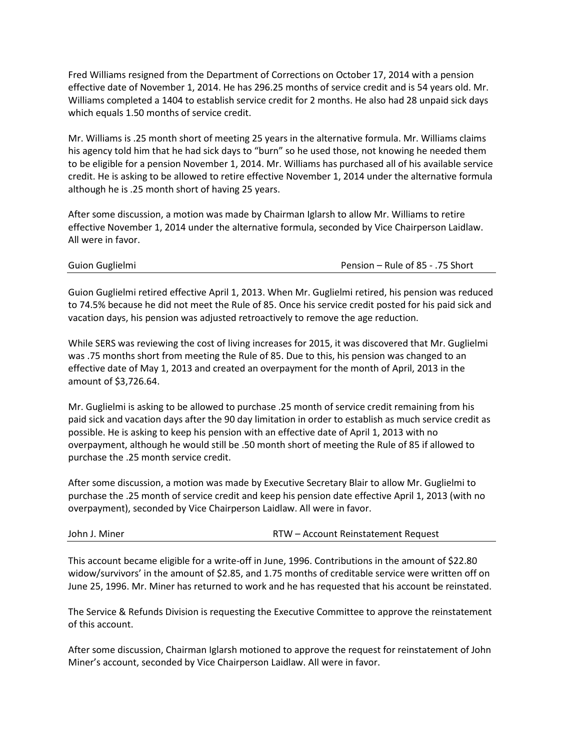Fred Williams resigned from the Department of Corrections on October 17, 2014 with a pension effective date of November 1, 2014. He has 296.25 months of service credit and is 54 years old. Mr. Williams completed a 1404 to establish service credit for 2 months. He also had 28 unpaid sick days which equals 1.50 months of service credit.

Mr. Williams is .25 month short of meeting 25 years in the alternative formula. Mr. Williams claims his agency told him that he had sick days to "burn" so he used those, not knowing he needed them to be eligible for a pension November 1, 2014. Mr. Williams has purchased all of his available service credit. He is asking to be allowed to retire effective November 1, 2014 under the alternative formula although he is .25 month short of having 25 years.

After some discussion, a motion was made by Chairman Iglarsh to allow Mr. Williams to retire effective November 1, 2014 under the alternative formula, seconded by Vice Chairperson Laidlaw. All were in favor.

| Guion Guglielmi | Pension - Rule of 85 - .75 Short |
|-----------------|----------------------------------|

Guion Guglielmi retired effective April 1, 2013. When Mr. Guglielmi retired, his pension was reduced to 74.5% because he did not meet the Rule of 85. Once his service credit posted for his paid sick and vacation days, his pension was adjusted retroactively to remove the age reduction.

While SERS was reviewing the cost of living increases for 2015, it was discovered that Mr. Guglielmi was .75 months short from meeting the Rule of 85. Due to this, his pension was changed to an effective date of May 1, 2013 and created an overpayment for the month of April, 2013 in the amount of \$3,726.64.

Mr. Guglielmi is asking to be allowed to purchase .25 month of service credit remaining from his paid sick and vacation days after the 90 day limitation in order to establish as much service credit as possible. He is asking to keep his pension with an effective date of April 1, 2013 with no overpayment, although he would still be .50 month short of meeting the Rule of 85 if allowed to purchase the .25 month service credit.

After some discussion, a motion was made by Executive Secretary Blair to allow Mr. Guglielmi to purchase the .25 month of service credit and keep his pension date effective April 1, 2013 (with no overpayment), seconded by Vice Chairperson Laidlaw. All were in favor.

| RTW – Account Reinstatement Request |
|-------------------------------------|
|                                     |

This account became eligible for a write-off in June, 1996. Contributions in the amount of \$22.80 widow/survivors' in the amount of \$2.85, and 1.75 months of creditable service were written off on June 25, 1996. Mr. Miner has returned to work and he has requested that his account be reinstated.

The Service & Refunds Division is requesting the Executive Committee to approve the reinstatement of this account.

After some discussion, Chairman Iglarsh motioned to approve the request for reinstatement of John Miner's account, seconded by Vice Chairperson Laidlaw. All were in favor.